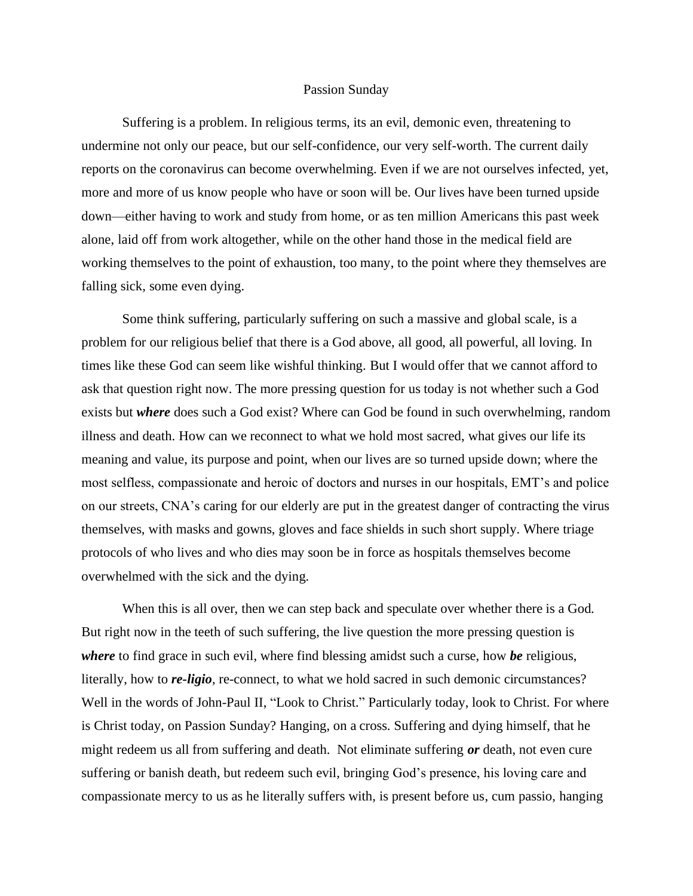## Passion Sunday

Suffering is a problem. In religious terms, its an evil, demonic even, threatening to undermine not only our peace, but our self-confidence, our very self-worth. The current daily reports on the coronavirus can become overwhelming. Even if we are not ourselves infected, yet, more and more of us know people who have or soon will be. Our lives have been turned upside down—either having to work and study from home, or as ten million Americans this past week alone, laid off from work altogether, while on the other hand those in the medical field are working themselves to the point of exhaustion, too many, to the point where they themselves are falling sick, some even dying.

Some think suffering, particularly suffering on such a massive and global scale, is a problem for our religious belief that there is a God above, all good, all powerful, all loving. In times like these God can seem like wishful thinking. But I would offer that we cannot afford to ask that question right now. The more pressing question for us today is not whether such a God exists but *where* does such a God exist? Where can God be found in such overwhelming, random illness and death. How can we reconnect to what we hold most sacred, what gives our life its meaning and value, its purpose and point, when our lives are so turned upside down; where the most selfless, compassionate and heroic of doctors and nurses in our hospitals, EMT's and police on our streets, CNA's caring for our elderly are put in the greatest danger of contracting the virus themselves, with masks and gowns, gloves and face shields in such short supply. Where triage protocols of who lives and who dies may soon be in force as hospitals themselves become overwhelmed with the sick and the dying.

When this is all over, then we can step back and speculate over whether there is a God. But right now in the teeth of such suffering, the live question the more pressing question is *where* to find grace in such evil, where find blessing amidst such a curse, how *be* religious, literally, how to *re-ligio*, re-connect, to what we hold sacred in such demonic circumstances? Well in the words of John-Paul II, "Look to Christ." Particularly today, look to Christ. For where is Christ today, on Passion Sunday? Hanging, on a cross. Suffering and dying himself, that he might redeem us all from suffering and death. Not eliminate suffering *or* death, not even cure suffering or banish death, but redeem such evil, bringing God's presence, his loving care and compassionate mercy to us as he literally suffers with, is present before us, cum passio, hanging